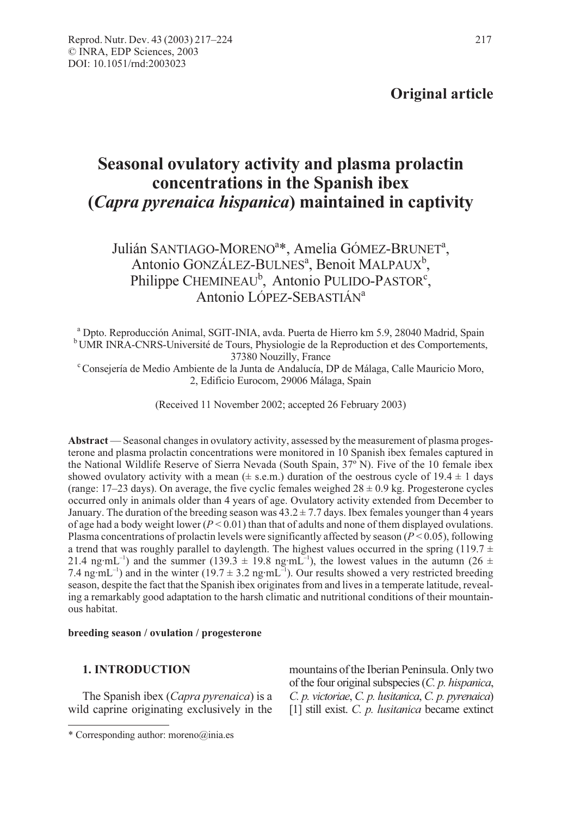# Original article

# Seasonal ovulatory activity and plasma prolactin concentrations in the Spanish ibex (Capra pyrenaica hispanica) maintained in captivity

## Julián SANTIAGO-MORENO<sup>a\*</sup>, Amelia GÓMEZ-BRUNET<sup>a</sup>, Antonio GONZÁLEZ-BULNES<sup>a</sup>, Benoit MALPAUX<sup>b</sup>, Philippe CHEMINEAU<sup>b</sup>, Antonio PULIDO-PASTOR<sup>c</sup>, Antonio LÓPEZ-SEBASTIÁN<sup>a</sup>

<sup>a</sup> Dpto. Reproducción Animal, SGIT-INIA, avda. Puerta de Hierro km 5.9, 28040 Madrid, Spain b UMR INRA-CNRS-Université de Tours, Physiologie de la Reproduction et des Comportements,

37380 Nouzilly, France <sup>c</sup> Consejería de Medio Ambiente de la Junta de Andalucía, DP de Málaga, Calle Mauricio Moro, 2, Edificio Eurocom, 29006 Málaga, Spain

(Received 11 November 2002; accepted 26 February 2003)

Abstract — Seasonal changes in ovulatory activity, assessed by the measurement of plasma progesterone and plasma prolactin concentrations were monitored in 10 Spanish ibex females captured in the National Wildlife Reserve of Sierra Nevada (South Spain, 37º N). Five of the 10 female ibex showed ovulatory activity with a mean  $(\pm \text{ s.e.m.})$  duration of the oestrous cycle of  $19.4 \pm 1$  days (range:  $17-23$  days). On average, the five cyclic females weighed  $28 \pm 0.9$  kg. Progesterone cycles occurred only in animals older than 4 years of age. Ovulatory activity extended from December to January. The duration of the breeding season was  $43.2 \pm 7.7$  days. Ibex females younger than 4 years of age had a body weight lower ( $P < 0.01$ ) than that of adults and none of them displayed ovulations. Plasma concentrations of prolactin levels were significantly affected by season ( $P < 0.05$ ), following a trend that was roughly parallel to daylength. The highest values occurred in the spring (119.7  $\pm$ 21.4 ng·mL<sup>-1</sup>) and the summer (139.3  $\pm$  19.8 ng·mL<sup>-1</sup>), the lowest values in the autumn (26  $\pm$ 7.4 ng·mL<sup>-1</sup>) and in the winter (19.7  $\pm$  3.2 ng·mL<sup>-1</sup>). Our results showed a very restricted breeding season, despite the fact that the Spanish ibex originates from and lives in a temperate latitude, revealing a remarkably good adaptation to the harsh climatic and nutritional conditions of their mountainous habitat.

#### breeding season / ovulation / progesterone

#### 1. INTRODUCTION

The Spanish ibex (*Capra pyrenaica*) is a wild caprine originating exclusively in the

mountains of the Iberian Peninsula. Only two of the four original subspecies (C. p. hispanica, C. p. victoriae, C. p. lusitanica, C. p. pyrenaica) [1] still exist. C. p. *lusitanica* became extinct

<sup>\*</sup> Corresponding author: moreno@inia.es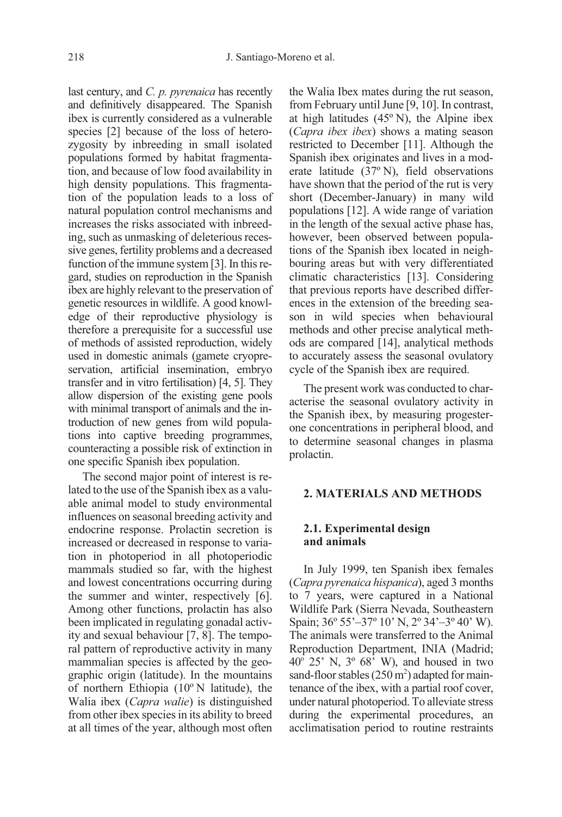last century, and C. p. pyrenaica has recently and definitively disappeared. The Spanish ibex is currently considered as a vulnerable species [2] because of the loss of heterozygosity by inbreeding in small isolated populations formed by habitat fragmentation, and because of low food availability in high density populations. This fragmentation of the population leads to a loss of natural population control mechanisms and increases the risks associated with inbreeding, such as unmasking of deleterious recessive genes, fertility problems and a decreased function of the immune system [3]. In this regard, studies on reproduction in the Spanish ibex are highly relevant to the preservation of genetic resources in wildlife. A good knowledge of their reproductive physiology is therefore a prerequisite for a successful use of methods of assisted reproduction, widely used in domestic animals (gamete cryopreservation, artificial insemination, embryo transfer and in vitro fertilisation) [4, 5]. They allow dispersion of the existing gene pools with minimal transport of animals and the introduction of new genes from wild populations into captive breeding programmes, counteracting a possible risk of extinction in one specific Spanish ibex population.

The second major point of interest is related to the use of the Spanish ibex as a valuable animal model to study environmental influences on seasonal breeding activity and endocrine response. Prolactin secretion is increased or decreased in response to variation in photoperiod in all photoperiodic mammals studied so far, with the highest and lowest concentrations occurring during the summer and winter, respectively [6]. Among other functions, prolactin has also been implicated in regulating gonadal activity and sexual behaviour [7, 8]. The temporal pattern of reproductive activity in many mammalian species is affected by the geographic origin (latitude). In the mountains of northern Ethiopia (10º N latitude), the Walia ibex (Capra walie) is distinguished from other ibex species in its ability to breed at all times of the year, although most often the Walia Ibex mates during the rut season, from February until June [9, 10]. In contrast, at high latitudes  $(45°\text{ N})$ , the Alpine ibex (Capra ibex ibex) shows a mating season restricted to December [11]. Although the Spanish ibex originates and lives in a moderate latitude (37º N), field observations have shown that the period of the rut is very short (December-January) in many wild populations [12]. A wide range of variation in the length of the sexual active phase has, however, been observed between populations of the Spanish ibex located in neighbouring areas but with very differentiated climatic characteristics [13]. Considering that previous reports have described differences in the extension of the breeding season in wild species when behavioural methods and other precise analytical methods are compared [14], analytical methods to accurately assess the seasonal ovulatory cycle of the Spanish ibex are required.

The present work was conducted to characterise the seasonal ovulatory activity in the Spanish ibex, by measuring progesterone concentrations in peripheral blood, and to determine seasonal changes in plasma prolactin.

#### 2. MATERIALS AND METHODS

#### 2.1. Experimental design and animals

In July 1999, ten Spanish ibex females (Capra pyrenaica hispanica), aged 3 months to 7 years, were captured in a National Wildlife Park (Sierra Nevada, Southeastern Spain; 36º 55'–37º 10' N, 2º 34'–3º 40' W). The animals were transferred to the Animal Reproduction Department, INIA (Madrid;  $40^{\circ}$  25' N,  $3^{\circ}$  68' W), and housed in two sand-floor stables  $(250 \text{ m}^2)$  adapted for maintenance of the ibex, with a partial roof cover, under natural photoperiod. To alleviate stress during the experimental procedures, an acclimatisation period to routine restraints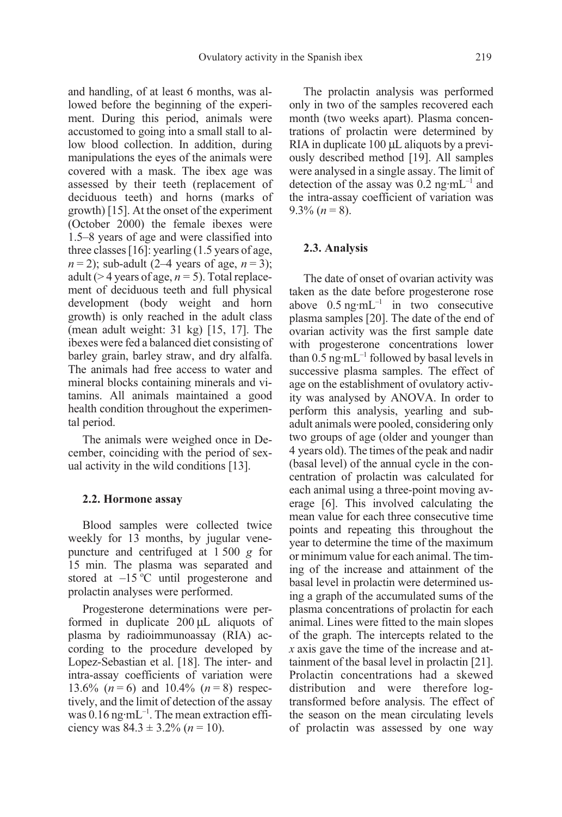and handling, of at least 6 months, was allowed before the beginning of the experiment. During this period, animals were accustomed to going into a small stall to allow blood collection. In addition, during manipulations the eyes of the animals were covered with a mask. The ibex age was assessed by their teeth (replacement of deciduous teeth) and horns (marks of growth) [15]. At the onset of the experiment (October 2000) the female ibexes were 1.5–8 years of age and were classified into three classes [16]: yearling (1.5 years of age,  $n = 2$ ); sub-adult (2–4 years of age,  $n = 3$ ); adult ( $>$  4 years of age,  $n = 5$ ). Total replacement of deciduous teeth and full physical development (body weight and horn growth) is only reached in the adult class (mean adult weight: 31 kg) [15, 17]. The ibexes were fed a balanced diet consisting of barley grain, barley straw, and dry alfalfa. The animals had free access to water and mineral blocks containing minerals and vitamins. All animals maintained a good health condition throughout the experimental period.

The animals were weighed once in December, coinciding with the period of sexual activity in the wild conditions [13].

#### 2.2. Hormone assay

Blood samples were collected twice weekly for 13 months, by jugular venepuncture and centrifuged at 1 500 g for 15 min. The plasma was separated and stored at  $-15$  °C until progesterone and prolactin analyses were performed.

Progesterone determinations were performed in duplicate 200 µL aliquots of plasma by radioimmunoassay (RIA) according to the procedure developed by Lopez-Sebastian et al. [18]. The inter- and intra-assay coefficients of variation were 13.6%  $(n = 6)$  and 10.4%  $(n = 8)$  respectively, and the limit of detection of the assay was  $0.16$  ng·mL<sup>-1</sup>. The mean extraction efficiency was  $84.3 \pm 3.2\%$  ( $n = 10$ ).

The prolactin analysis was performed only in two of the samples recovered each month (two weeks apart). Plasma concentrations of prolactin were determined by RIA in duplicate 100 µL aliquots by a previously described method [19]. All samples were analysed in a single assay. The limit of detection of the assay was  $0.2$  ng·mL<sup>-1</sup> and the intra-assay coefficient of variation was  $9.3\%$   $(n=8)$ .

### 2.3. Analysis

The date of onset of ovarian activity was taken as the date before progesterone rose above  $0.5$  ng·mL<sup>-1</sup> in two consecutive plasma samples [20]. The date of the end of ovarian activity was the first sample date with progesterone concentrations lower than  $0.5$  ng·mL<sup>-1</sup> followed by basal levels in successive plasma samples. The effect of age on the establishment of ovulatory activity was analysed by ANOVA. In order to perform this analysis, yearling and subadult animals were pooled, considering only two groups of age (older and younger than 4 years old). The times of the peak and nadir (basal level) of the annual cycle in the concentration of prolactin was calculated for each animal using a three-point moving average [6]. This involved calculating the mean value for each three consecutive time points and repeating this throughout the year to determine the time of the maximum or minimum value for each animal. The timing of the increase and attainment of the basal level in prolactin were determined using a graph of the accumulated sums of the plasma concentrations of prolactin for each animal. Lines were fitted to the main slopes of the graph. The intercepts related to the x axis gave the time of the increase and attainment of the basal level in prolactin [21]. Prolactin concentrations had a skewed distribution and were therefore logtransformed before analysis. The effect of the season on the mean circulating levels of prolactin was assessed by one way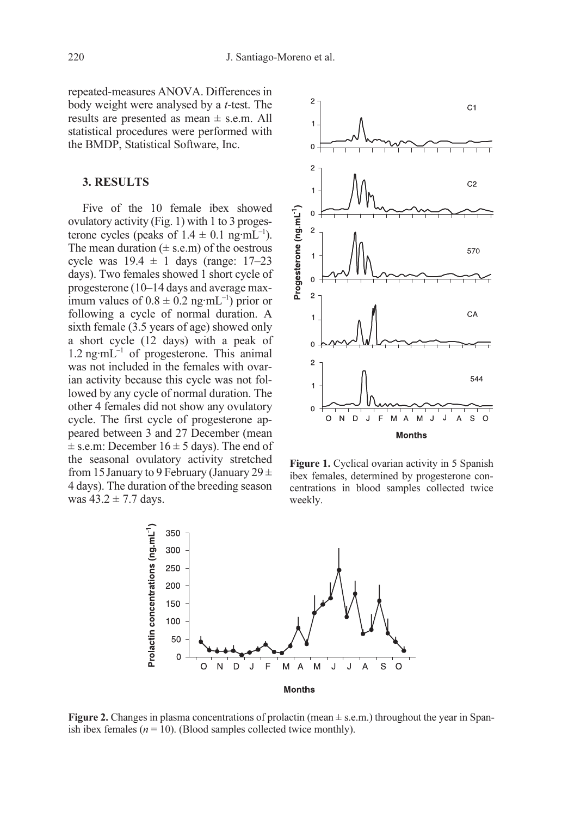repeated-measures ANOVA. Differences in body weight were analysed by a t-test. The results are presented as mean ± s.e.m. All statistical procedures were performed with the BMDP, Statistical Software, Inc.

## 3. RESULTS

Five of the 10 female ibex showed ovulatory activity (Fig. 1) with 1 to 3 progesterone cycles (peaks of  $1.4 \pm 0.1$  ng·mL<sup>-1</sup>). The mean duration  $(\pm \text{ s.e.m})$  of the oestrous cycle was  $19.4 \pm 1$  days (range:  $17-23$ days). Two females showed 1 short cycle of progesterone (10–14 days and average maximum values of  $0.8 \pm 0.2$  ng·mL<sup>-1</sup>) prior or following a cycle of normal duration. A sixth female (3.5 years of age) showed only a short cycle (12 days) with a peak of  $1.2$  ng·mL<sup>-1</sup> of progesterone. This animal was not included in the females with ovarian activity because this cycle was not followed by any cycle of normal duration. The other 4 females did not show any ovulatory cycle. The first cycle of progesterone appeared between 3 and 27 December (mean  $\pm$  s.e.m: December 16  $\pm$  5 days). The end of the seasonal ovulatory activity stretched from 15 January to 9 February (January 29  $\pm$ 4 days). The duration of the breeding season was  $43.2 \pm 7.7$  days.



Figure 1. Cyclical ovarian activity in 5 Spanish ibex females, determined by progesterone concentrations in blood samples collected twice weekly.



**Figure 2.** Changes in plasma concentrations of prolactin (mean  $\pm$  s.e.m.) throughout the year in Spanish ibex females ( $n = 10$ ). (Blood samples collected twice monthly).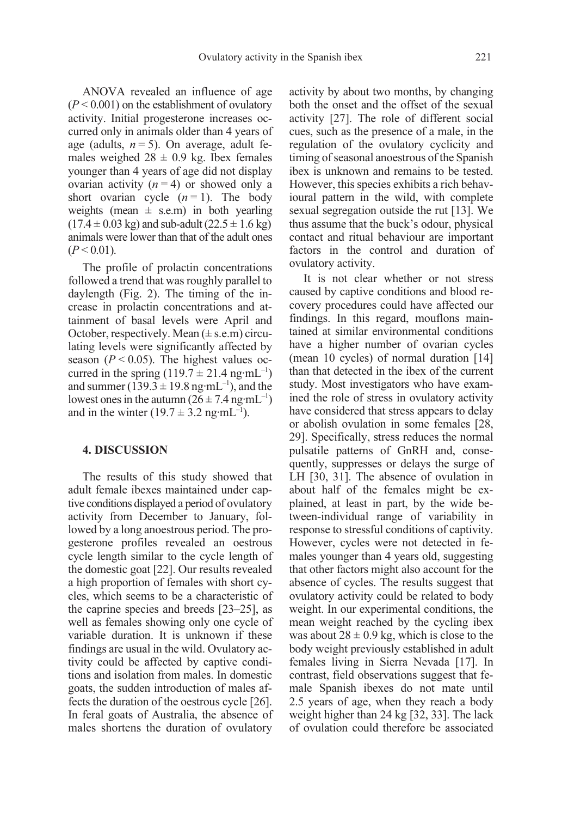ANOVA revealed an influence of age  $(P < 0.001)$  on the establishment of ovulatory activity. Initial progesterone increases occurred only in animals older than 4 years of age (adults,  $n = 5$ ). On average, adult females weighed  $28 \pm 0.9$  kg. Ibex females younger than 4 years of age did not display ovarian activity  $(n = 4)$  or showed only a short ovarian cycle  $(n = 1)$ . The body weights (mean  $\pm$  s.e.m) in both yearling  $(17.4 \pm 0.03 \text{ kg})$  and sub-adult  $(22.5 \pm 1.6 \text{ kg})$ animals were lower than that of the adult ones  $(P < 0.01)$ .

The profile of prolactin concentrations followed a trend that was roughly parallel to daylength (Fig. 2). The timing of the increase in prolactin concentrations and attainment of basal levels were April and October, respectively. Mean  $(\pm \text{ s.e.m})$  circulating levels were significantly affected by season ( $P < 0.05$ ). The highest values occurred in the spring  $(119.7 \pm 21.4 \text{ ng} \cdot \text{mL}^{-1})$ and summer (139.3  $\pm$  19.8 ng·mL<sup>-1</sup>), and the lowest ones in the autumn  $(26 \pm 7.4 \text{ ng} \cdot \text{mL}^{-1})$ and in the winter  $(19.7 \pm 3.2 \text{ ng} \cdot \text{mL}^{-1})$ .

#### 4. DISCUSSION

The results of this study showed that adult female ibexes maintained under captive conditions displayed a period of ovulatory activity from December to January, followed by a long anoestrous period. The progesterone profiles revealed an oestrous cycle length similar to the cycle length of the domestic goat [22]. Our results revealed a high proportion of females with short cycles, which seems to be a characteristic of the caprine species and breeds [23–25], as well as females showing only one cycle of variable duration. It is unknown if these findings are usual in the wild. Ovulatory activity could be affected by captive conditions and isolation from males. In domestic goats, the sudden introduction of males affects the duration of the oestrous cycle [26]. In feral goats of Australia, the absence of males shortens the duration of ovulatory activity by about two months, by changing both the onset and the offset of the sexual activity [27]. The role of different social cues, such as the presence of a male, in the regulation of the ovulatory cyclicity and timing of seasonal anoestrous of the Spanish ibex is unknown and remains to be tested. However, this species exhibits a rich behavioural pattern in the wild, with complete sexual segregation outside the rut [13]. We thus assume that the buck's odour, physical contact and ritual behaviour are important factors in the control and duration of ovulatory activity.

It is not clear whether or not stress caused by captive conditions and blood recovery procedures could have affected our findings. In this regard, mouflons maintained at similar environmental conditions have a higher number of ovarian cycles (mean 10 cycles) of normal duration [14] than that detected in the ibex of the current study. Most investigators who have examined the role of stress in ovulatory activity have considered that stress appears to delay or abolish ovulation in some females [28, 29]. Specifically, stress reduces the normal pulsatile patterns of GnRH and, consequently, suppresses or delays the surge of LH [30, 31]. The absence of ovulation in about half of the females might be explained, at least in part, by the wide between-individual range of variability in response to stressful conditions of captivity. However, cycles were not detected in females younger than 4 years old, suggesting that other factors might also account for the absence of cycles. The results suggest that ovulatory activity could be related to body weight. In our experimental conditions, the mean weight reached by the cycling ibex was about  $28 \pm 0.9$  kg, which is close to the body weight previously established in adult females living in Sierra Nevada [17]. In contrast, field observations suggest that female Spanish ibexes do not mate until 2.5 years of age, when they reach a body weight higher than 24 kg [32, 33]. The lack of ovulation could therefore be associated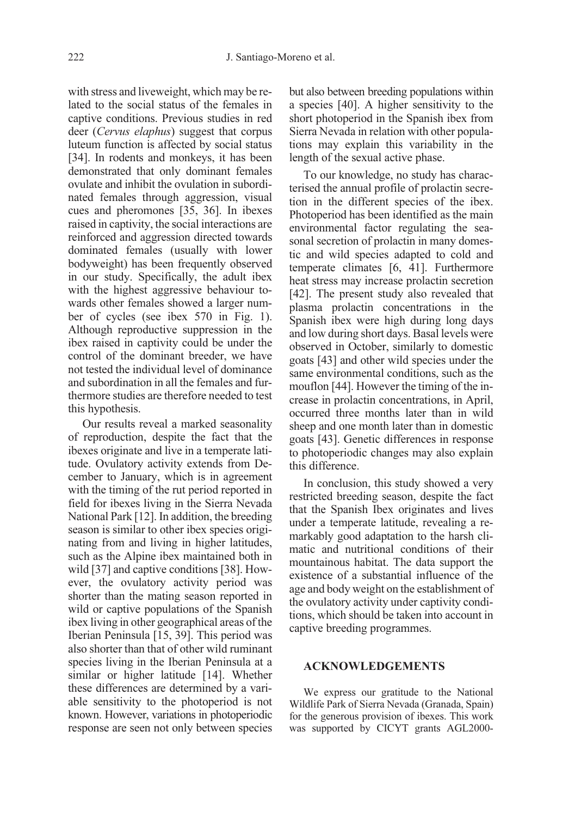with stress and liveweight, which may be related to the social status of the females in captive conditions. Previous studies in red deer (Cervus elaphus) suggest that corpus luteum function is affected by social status [34]. In rodents and monkeys, it has been demonstrated that only dominant females ovulate and inhibit the ovulation in subordinated females through aggression, visual cues and pheromones [35, 36]. In ibexes raised in captivity, the social interactions are reinforced and aggression directed towards dominated females (usually with lower bodyweight) has been frequently observed in our study. Specifically, the adult ibex with the highest aggressive behaviour towards other females showed a larger number of cycles (see ibex 570 in Fig. 1). Although reproductive suppression in the ibex raised in captivity could be under the control of the dominant breeder, we have not tested the individual level of dominance and subordination in all the females and furthermore studies are therefore needed to test this hypothesis.

Our results reveal a marked seasonality of reproduction, despite the fact that the ibexes originate and live in a temperate latitude. Ovulatory activity extends from December to January, which is in agreement with the timing of the rut period reported in field for ibexes living in the Sierra Nevada National Park [12]. In addition, the breeding season is similar to other ibex species originating from and living in higher latitudes, such as the Alpine ibex maintained both in wild [37] and captive conditions [38]. However, the ovulatory activity period was shorter than the mating season reported in wild or captive populations of the Spanish ibex living in other geographical areas of the Iberian Peninsula [15, 39]. This period was also shorter than that of other wild ruminant species living in the Iberian Peninsula at a similar or higher latitude [14]. Whether these differences are determined by a variable sensitivity to the photoperiod is not known. However, variations in photoperiodic response are seen not only between species but also between breeding populations within a species [40]. A higher sensitivity to the short photoperiod in the Spanish ibex from Sierra Nevada in relation with other populations may explain this variability in the length of the sexual active phase.

To our knowledge, no study has characterised the annual profile of prolactin secretion in the different species of the ibex. Photoperiod has been identified as the main environmental factor regulating the seasonal secretion of prolactin in many domestic and wild species adapted to cold and temperate climates [6, 41]. Furthermore heat stress may increase prolactin secretion [42]. The present study also revealed that plasma prolactin concentrations in the Spanish ibex were high during long days and low during short days. Basal levels were observed in October, similarly to domestic goats [43] and other wild species under the same environmental conditions, such as the mouflon [44]. However the timing of the increase in prolactin concentrations, in April, occurred three months later than in wild sheep and one month later than in domestic goats [43]. Genetic differences in response to photoperiodic changes may also explain this difference.

In conclusion, this study showed a very restricted breeding season, despite the fact that the Spanish Ibex originates and lives under a temperate latitude, revealing a remarkably good adaptation to the harsh climatic and nutritional conditions of their mountainous habitat. The data support the existence of a substantial influence of the age and body weight on the establishment of the ovulatory activity under captivity conditions, which should be taken into account in captive breeding programmes.

#### ACKNOWLEDGEMENTS

We express our gratitude to the National Wildlife Park of Sierra Nevada (Granada, Spain) for the generous provision of ibexes. This work was supported by CICYT grants AGL2000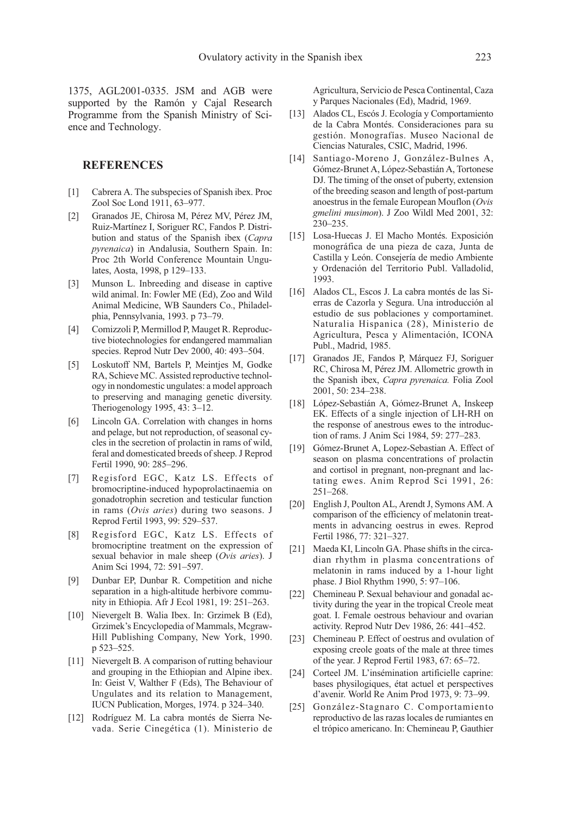1375, AGL2001-0335. JSM and AGB were supported by the Ramón y Cajal Research Programme from the Spanish Ministry of Science and Technology.

#### REFERENCES

- [1] Cabrera A. The subspecies of Spanish ibex. Proc Zool Soc Lond 1911, 63–977.
- [2] Granados JE, Chirosa M, Pérez MV, Pérez JM, Ruiz-Martínez I, Soriguer RC, Fandos P. Distribution and status of the Spanish ibex (Capra pyrenaica) in Andalusia, Southern Spain. In: Proc 2th World Conference Mountain Ungulates, Aosta, 1998, p 129–133.
- [3] Munson L. Inbreeding and disease in captive wild animal. In: Fowler ME (Ed), Zoo and Wild Animal Medicine, WB Saunders Co., Philadelphia, Pennsylvania, 1993. p 73–79.
- [4] Comizzoli P, Mermillod P, Mauget R. Reproductive biotechnologies for endangered mammalian species. Reprod Nutr Dev 2000, 40: 493–504.
- [5] Loskutoff NM, Bartels P, Meintjes M, Godke RA, Schieve MC. Assisted reproductive technology in nondomestic ungulates: a model approach to preserving and managing genetic diversity. Theriogenology 1995, 43: 3–12.
- [6] Lincoln GA. Correlation with changes in horns and pelage, but not reproduction, of seasonal cycles in the secretion of prolactin in rams of wild, feral and domesticated breeds of sheep. J Reprod Fertil 1990, 90: 285–296.
- [7] Regisford EGC, Katz LS. Effects of bromocriptine-induced hypoprolactinaemia on gonadotrophin secretion and testicular function in rams (Ovis aries) during two seasons. J Reprod Fertil 1993, 99: 529–537.
- [8] Regisford EGC, Katz LS. Effects of bromocriptine treatment on the expression of sexual behavior in male sheep (Ovis aries). J Anim Sci 1994, 72: 591–597.
- [9] Dunbar EP, Dunbar R. Competition and niche separation in a high-altitude herbivore community in Ethiopia. Afr J Ecol 1981, 19: 251–263.
- [10] Nievergelt B. Walia Ibex. In: Grzimek B (Ed), Grzimek's Encyclopedia of Mammals, Mcgraw-Hill Publishing Company, New York, 1990. p 523–525.
- [11] Nievergelt B. A comparison of rutting behaviour and grouping in the Ethiopian and Alpine ibex. In: Geist V, Walther F (Eds), The Behaviour of Ungulates and its relation to Management, IUCN Publication, Morges, 1974. p 324–340.
- [12] Rodríguez M. La cabra montés de Sierra Nevada. Serie Cinegética (1). Ministerio de

Agricultura, Servicio de Pesca Continental, Caza y Parques Nacionales (Ed), Madrid, 1969.

- [13] Alados CL, Escós J. Ecología y Comportamiento de la Cabra Montés. Consideraciones para su gestión. Monografías. Museo Nacional de Ciencias Naturales, CSIC, Madrid, 1996.
- [14] Santiago-Moreno J, González-Bulnes A, Gómez-Brunet A, López-Sebastián A, Tortonese DJ. The timing of the onset of puberty, extension of the breeding season and length of post-partum anoestrus in the female European Mouflon (Ovis gmelini musimon). J Zoo Wildl Med 2001, 32: 230–235.
- [15] Losa-Huecas J. El Macho Montés. Exposición monográfica de una pieza de caza, Junta de Castilla y León. Consejería de medio Ambiente y Ordenación del Territorio Publ. Valladolid, 1993.
- [16] Alados CL, Escos J. La cabra montés de las Sierras de Cazorla y Segura. Una introducción al estudio de sus poblaciones y comportaminet. Naturalia Hispanica (28), Ministerio de Agricultura, Pesca y Alimentación, ICONA Publ., Madrid, 1985.
- [17] Granados JE, Fandos P, Márquez FJ, Soriguer RC, Chirosa M, Pérez JM. Allometric growth in the Spanish ibex, Capra pyrenaica. Folia Zool 2001, 50: 234–238.
- [18] López-Sebastián A, Gómez-Brunet A, Inskeep EK. Effects of a single injection of LH-RH on the response of anestrous ewes to the introduction of rams. J Anim Sci 1984, 59: 277–283.
- [19] Gómez-Brunet A, Lopez-Sebastian A. Effect of season on plasma concentrations of prolactin and cortisol in pregnant, non-pregnant and lactating ewes. Anim Reprod Sci 1991, 26: 251–268.
- [20] English J, Poulton AL, Arendt J, Symons AM. A comparison of the efficiency of melatonin treatments in advancing oestrus in ewes. Reprod Fertil 1986, 77: 321–327.
- [21] Maeda KI, Lincoln GA. Phase shifts in the circadian rhythm in plasma concentrations of melatonin in rams induced by a 1-hour light phase. J Biol Rhythm 1990, 5: 97–106.
- [22] Chemineau P. Sexual behaviour and gonadal activity during the year in the tropical Creole meat goat. I. Female oestrous behaviour and ovarian activity. Reprod Nutr Dev 1986, 26: 441–452.
- [23] Chemineau P. Effect of oestrus and ovulation of exposing creole goats of the male at three times of the year. J Reprod Fertil 1983, 67: 65–72.
- [24] Corteel JM. L'insémination artificielle caprine: bases physilogiques, état actuel et perspectives d'avenir. World Re Anim Prod 1973, 9: 73–99.
- [25] González-Stagnaro C. Comportamiento reproductivo de las razas locales de rumiantes en el trópico americano. In: Chemineau P, Gauthier